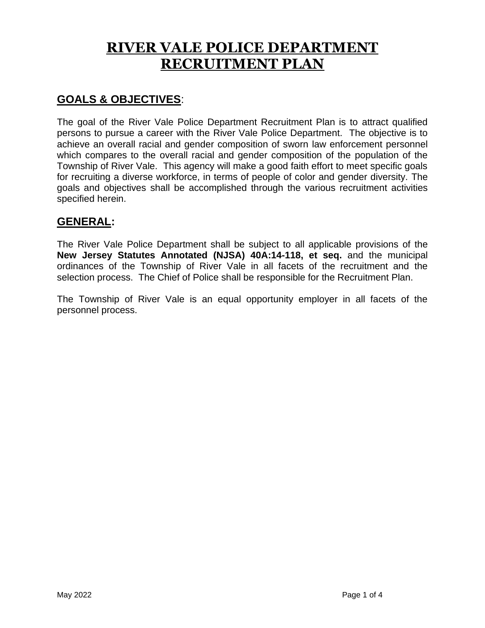# **RIVER VALE POLICE DEPARTMENT RECRUITMENT PLAN**

### **GOALS & OBJECTIVES**:

The goal of the River Vale Police Department Recruitment Plan is to attract qualified persons to pursue a career with the River Vale Police Department. The objective is to achieve an overall racial and gender composition of sworn law enforcement personnel which compares to the overall racial and gender composition of the population of the Township of River Vale. This agency will make a good faith effort to meet specific goals for recruiting a diverse workforce, in terms of people of color and gender diversity. The goals and objectives shall be accomplished through the various recruitment activities specified herein.

### **GENERAL:**

The River Vale Police Department shall be subject to all applicable provisions of the **New Jersey Statutes Annotated (NJSA) 40A:14-118, et seq.** and the municipal ordinances of the Township of River Vale in all facets of the recruitment and the selection process. The Chief of Police shall be responsible for the Recruitment Plan.

The Township of River Vale is an equal opportunity employer in all facets of the personnel process.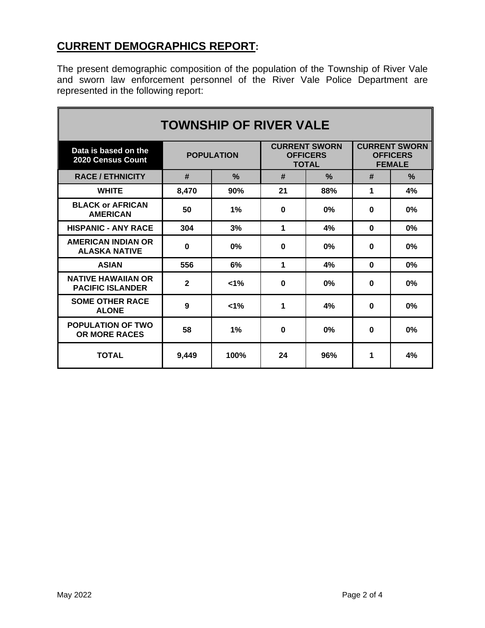## **CURRENT DEMOGRAPHICS REPORT:**

The present demographic composition of the population of the Township of River Vale and sworn law enforcement personnel of the River Vale Police Department are represented in the following report:

| <b>TOWNSHIP OF RIVER VALE</b>                        |                   |               |                                                         |               |                                                          |    |
|------------------------------------------------------|-------------------|---------------|---------------------------------------------------------|---------------|----------------------------------------------------------|----|
| Data is based on the<br>2020 Census Count            | <b>POPULATION</b> |               | <b>CURRENT SWORN</b><br><b>OFFICERS</b><br><b>TOTAL</b> |               | <b>CURRENT SWORN</b><br><b>OFFICERS</b><br><b>FEMALE</b> |    |
| <b>RACE / ETHNICITY</b>                              | #                 | $\frac{0}{0}$ | #                                                       | $\frac{9}{6}$ | #                                                        | %  |
| <b>WHITE</b>                                         | 8,470             | 90%           | 21                                                      | 88%           | 1                                                        | 4% |
| <b>BLACK or AFRICAN</b><br><b>AMERICAN</b>           | 50                | 1%            | 0                                                       | 0%            | $\bf{0}$                                                 | 0% |
| <b>HISPANIC - ANY RACE</b>                           | 304               | 3%            | 1                                                       | 4%            | $\bf{0}$                                                 | 0% |
| <b>AMERICAN INDIAN OR</b><br><b>ALASKA NATIVE</b>    | 0                 | 0%            | 0                                                       | $0\%$         | $\bf{0}$                                                 | 0% |
| <b>ASIAN</b>                                         | 556               | 6%            | 1                                                       | 4%            | $\bf{0}$                                                 | 0% |
| <b>NATIVE HAWAIIAN OR</b><br><b>PACIFIC ISLANDER</b> | $\mathbf{2}$      | $1\%$         | 0                                                       | 0%            | $\bf{0}$                                                 | 0% |
| <b>SOME OTHER RACE</b><br><b>ALONE</b>               | 9                 | $1\%$         | 1                                                       | 4%            | $\bf{0}$                                                 | 0% |
| <b>POPULATION OF TWO</b><br>OR MORE RACES            | 58                | 1%            | 0                                                       | $0\%$         | $\bf{0}$                                                 | 0% |
| <b>TOTAL</b>                                         | 9,449             | 100%          | 24                                                      | 96%           | 1                                                        | 4% |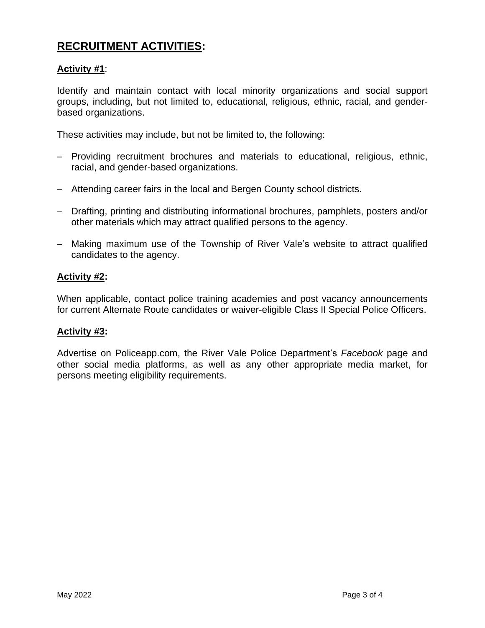### **RECRUITMENT ACTIVITIES:**

#### **Activity #1**:

Identify and maintain contact with local minority organizations and social support groups, including, but not limited to, educational, religious, ethnic, racial, and genderbased organizations.

These activities may include, but not be limited to, the following:

- Providing recruitment brochures and materials to educational, religious, ethnic, racial, and gender-based organizations.
- Attending career fairs in the local and Bergen County school districts.
- Drafting, printing and distributing informational brochures, pamphlets, posters and/or other materials which may attract qualified persons to the agency.
- Making maximum use of the Township of River Vale's website to attract qualified candidates to the agency.

#### **Activity #2:**

When applicable, contact police training academies and post vacancy announcements for current Alternate Route candidates or waiver-eligible Class II Special Police Officers.

#### **Activity #3:**

Advertise on Policeapp.com, the River Vale Police Department's *Facebook* page and other social media platforms, as well as any other appropriate media market, for persons meeting eligibility requirements.